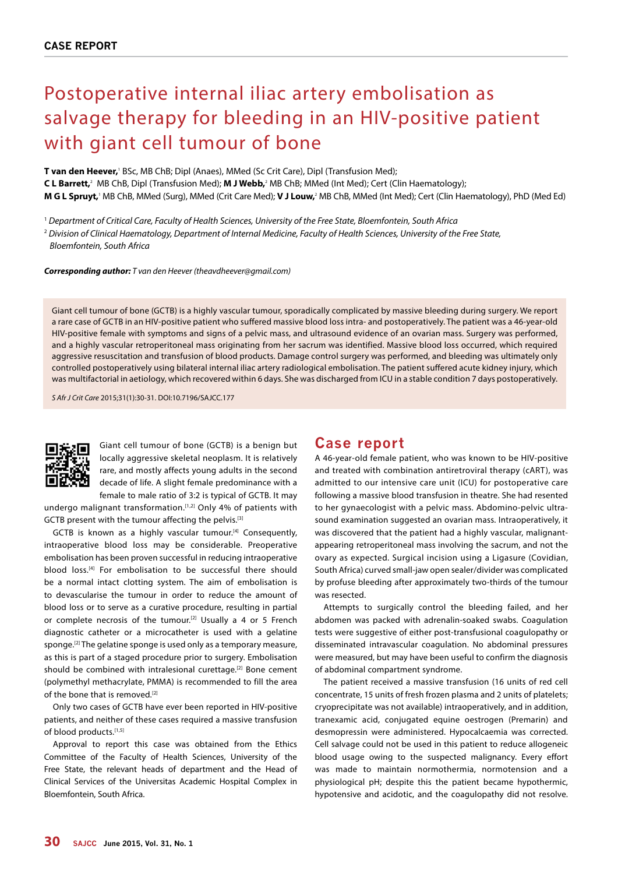# Postoperative internal iliac artery embolisation as salvage therapy for bleeding in an HIV-positive patient with giant cell tumour of bone

**T van den Heever,**<sup>1</sup> BSc, MB ChB; Dipl (Anaes), MMed (Sc Crit Care), Dipl (Transfusion Med); **C L Barrett,**<sup>2</sup> MB ChB, Dipl (Transfusion Med); **M J Webb,**<sup>2</sup> MB ChB; MMed (Int Med); Cert (Clin Haematology); **M G L Spruyt,**' MB ChB, MMed (Surg), MMed (Crit Care Med); **V J Louw,**? MB ChB, MMed (Int Med); Cert (Clin Haematology), PhD (Med Ed)

1  *Department of Critical Care, Faculty of Health Sciences, University of the Free State, Bloemfontein, South Africa*

<sup>2</sup> *Division of Clinical Haematology, Department of Internal Medicine, Faculty of Health Sciences, University of the Free State, Bloemfontein, South Africa*

*Corresponding author: T van den Heever (theavdheever@gmail.com)*

Giant cell tumour of bone (GCTB) is a highly vascular tumour, sporadically complicated by massive bleeding during surgery. We report a rare case of GCTB in an HIV-positive patient who suffered massive blood loss intra- and postoperatively. The patient was a 46-year-old HIV-positive female with symptoms and signs of a pelvic mass, and ultrasound evidence of an ovarian mass. Surgery was performed, and a highly vascular retroperitoneal mass originating from her sacrum was identified. Massive blood loss occurred, which required aggressive resuscitation and transfusion of blood products. Damage control surgery was performed, and bleeding was ultimately only controlled postoperatively using bilateral internal iliac artery radiological embolisation. The patient suffered acute kidney injury, which was multifactorial in aetiology, which recovered within 6 days. She was discharged from ICU in a stable condition 7 days postoperatively.

*S Afr J Crit Care* 2015;31(1):30-31. DOI:10.7196/SAJCC.177



Giant cell tumour of bone (GCTB) is a benign but locally aggressive skeletal neoplasm. It is relatively rare, and mostly affects young adults in the second decade of life. A slight female predominance with a female to male ratio of 3:2 is typical of GCTB. It may

undergo malignant transformation.<sup>[1,2]</sup> Only 4% of patients with GCTB present with the tumour affecting the pelvis.[3]

GCTB is known as a highly vascular tumour.<sup>[4]</sup> Consequently, intraoperative blood loss may be considerable. Preoperative embolisation has been proven successful in reducing intraoperative blood loss.[4] For embolisation to be successful there should be a normal intact clotting system. The aim of embolisation is to devascularise the tumour in order to reduce the amount of blood loss or to serve as a curative procedure, resulting in partial or complete necrosis of the tumour.[2] Usually a 4 or 5 French diagnostic catheter or a microcatheter is used with a gelatine sponge.[2] The gelatine sponge is used only as a temporary measure, as this is part of a staged procedure prior to surgery. Embolisation should be combined with intralesional curettage.<sup>[2]</sup> Bone cement (polymethyl methacrylate, PMMA) is recommended to fill the area of the bone that is removed.<sup>[2]</sup>

Only two cases of GCTB have ever been reported in HIV-positive patients, and neither of these cases required a massive transfusion of blood products.[1,5]

Approval to report this case was obtained from the Ethics Committee of the Faculty of Health Sciences, University of the Free State, the relevant heads of department and the Head of Clinical Services of the Universitas Academic Hospital Complex in Bloemfontein, South Africa.

#### **Case report**

A 46-year-old female patient, who was known to be HIV-positive and treated with combination antiretroviral therapy (cART), was admitted to our intensive care unit (ICU) for postoperative care following a massive blood transfusion in theatre. She had resented to her gynaecologist with a pelvic mass. Abdomino-pelvic ultrasound examination suggested an ovarian mass. Intraoperatively, it was discovered that the patient had a highly vascular, malignantappearing retroperitoneal mass involving the sacrum, and not the ovary as expected. Surgical incision using a Ligasure (Covidian, South Africa) curved small-jaw open sealer/divider was complicated by profuse bleeding after approximately two-thirds of the tumour was resected.

Attempts to surgically control the bleeding failed, and her abdomen was packed with adrenalin-soaked swabs. Coagulation tests were suggestive of either post-transfusional coagulopathy or disseminated intravascular coagulation. No abdominal pressures were measured, but may have been useful to confirm the diagnosis of abdominal compartment syndrome.

The patient received a massive transfusion (16 units of red cell concentrate, 15 units of fresh frozen plasma and 2 units of platelets; cryoprecipitate was not available) intraoperatively, and in addition, tranexamic acid, conjugated equine oestrogen (Premarin) and desmopressin were administered. Hypocalcaemia was corrected. Cell salvage could not be used in this patient to reduce allogeneic blood usage owing to the suspected malignancy. Every effort was made to maintain normothermia, normotension and a physiological pH; despite this the patient became hypothermic, hypotensive and acidotic, and the coagulopathy did not resolve.